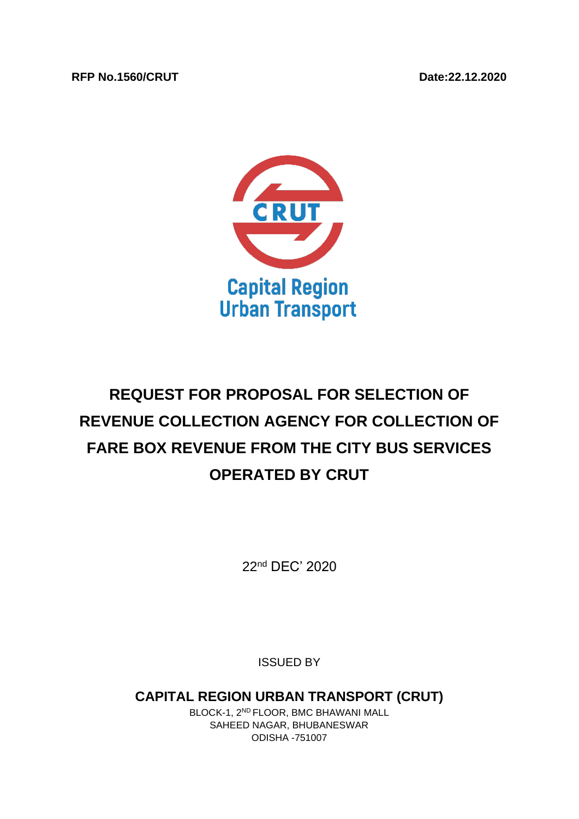#### **RFP No.1560/CRUT Date:22.12.2020**



# **REQUEST FOR PROPOSAL FOR SELECTION OF REVENUE COLLECTION AGENCY FOR COLLECTION OF FARE BOX REVENUE FROM THE CITY BUS SERVICES OPERATED BY CRUT**

22 nd DEC' 2020

ISSUED BY

**CAPITAL REGION URBAN TRANSPORT (CRUT)**

BLOCK-1, 2ND FLOOR, BMC BHAWANI MALL SAHEED NAGAR, BHUBANESWAR ODISHA -751007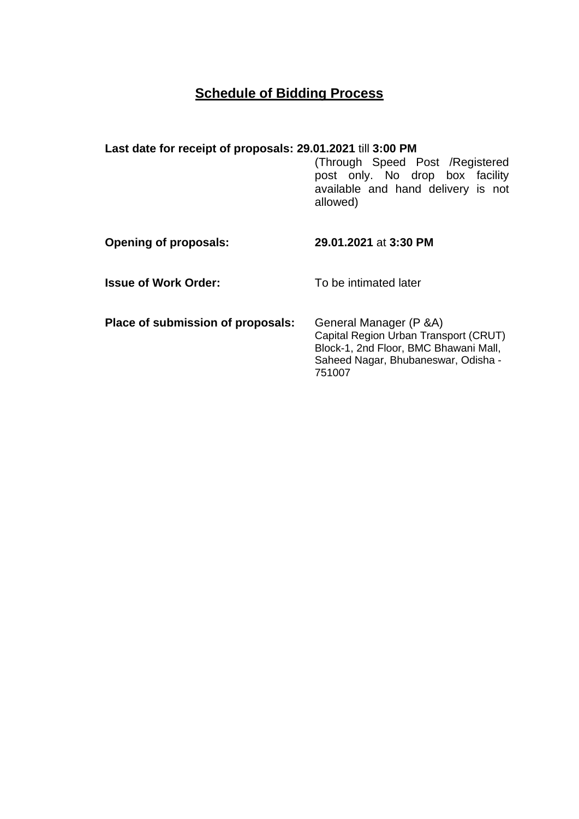## **Schedule of Bidding Process**

## **Last date for receipt of proposals: 29.01.2021** till **3:00 PM**

(Through Speed Post /Registered post only. No drop box facility available and hand delivery is not allowed)

| <b>Opening of proposals:</b>      | 29.01.2021 at 3:30 PM                                                                                                                                      |
|-----------------------------------|------------------------------------------------------------------------------------------------------------------------------------------------------------|
| <b>Issue of Work Order:</b>       | To be intimated later                                                                                                                                      |
| Place of submission of proposals: | General Manager (P & A)<br>Capital Region Urban Transport (CRUT)<br>Block-1, 2nd Floor, BMC Bhawani Mall,<br>Saheed Nagar, Bhubaneswar, Odisha -<br>751007 |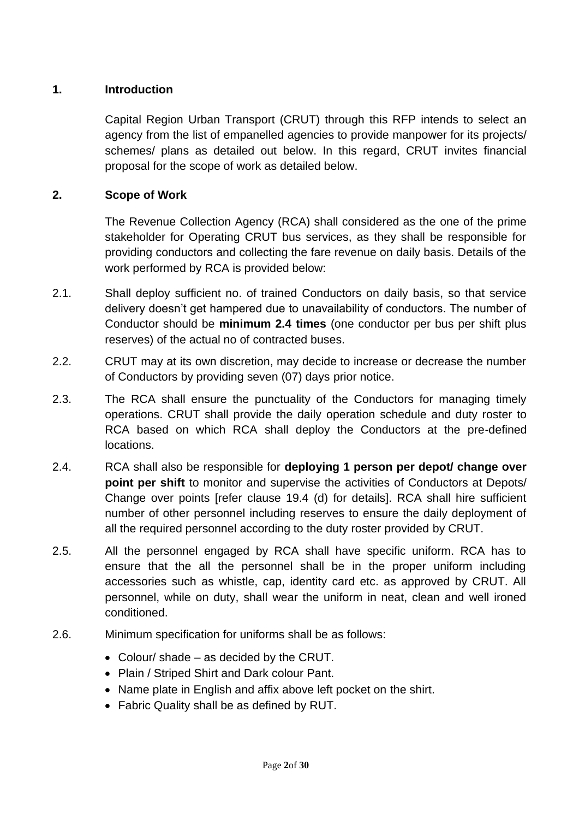## **1. Introduction**

Capital Region Urban Transport (CRUT) through this RFP intends to select an agency from the list of empanelled agencies to provide manpower for its projects/ schemes/ plans as detailed out below. In this regard, CRUT invites financial proposal for the scope of work as detailed below.

## **2. Scope of Work**

The Revenue Collection Agency (RCA) shall considered as the one of the prime stakeholder for Operating CRUT bus services, as they shall be responsible for providing conductors and collecting the fare revenue on daily basis. Details of the work performed by RCA is provided below:

- 2.1. Shall deploy sufficient no. of trained Conductors on daily basis, so that service delivery doesn't get hampered due to unavailability of conductors. The number of Conductor should be **minimum 2.4 times** (one conductor per bus per shift plus reserves) of the actual no of contracted buses.
- 2.2. CRUT may at its own discretion, may decide to increase or decrease the number of Conductors by providing seven (07) days prior notice.
- 2.3. The RCA shall ensure the punctuality of the Conductors for managing timely operations. CRUT shall provide the daily operation schedule and duty roster to RCA based on which RCA shall deploy the Conductors at the pre-defined locations.
- 2.4. RCA shall also be responsible for **deploying 1 person per depot/ change over point per shift** to monitor and supervise the activities of Conductors at Depots/ Change over points [refer clause 19.4 (d) for details]. RCA shall hire sufficient number of other personnel including reserves to ensure the daily deployment of all the required personnel according to the duty roster provided by CRUT.
- 2.5. All the personnel engaged by RCA shall have specific uniform. RCA has to ensure that the all the personnel shall be in the proper uniform including accessories such as whistle, cap, identity card etc. as approved by CRUT. All personnel, while on duty, shall wear the uniform in neat, clean and well ironed conditioned.
- 2.6. Minimum specification for uniforms shall be as follows:
	- Colour/ shade as decided by the CRUT.
	- Plain / Striped Shirt and Dark colour Pant.
	- Name plate in English and affix above left pocket on the shirt.
	- Fabric Quality shall be as defined by RUT.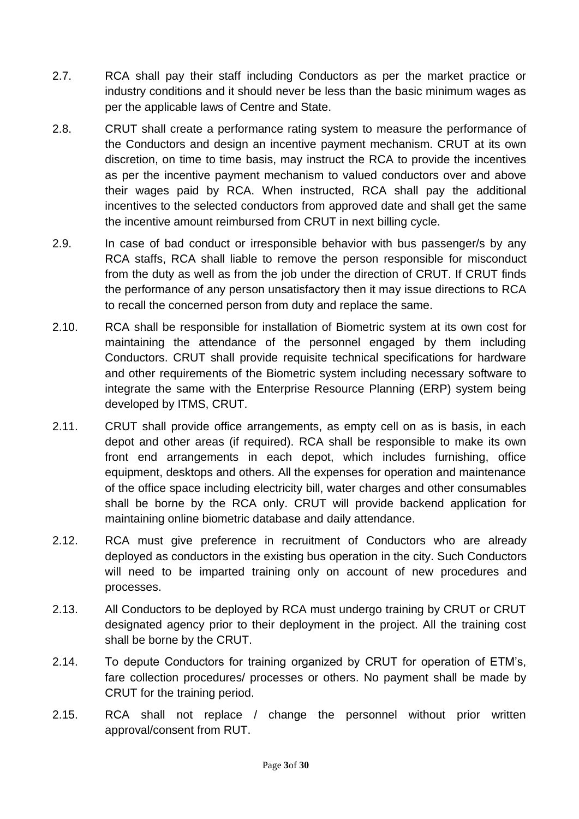- 2.7. RCA shall pay their staff including Conductors as per the market practice or industry conditions and it should never be less than the basic minimum wages as per the applicable laws of Centre and State.
- 2.8. CRUT shall create a performance rating system to measure the performance of the Conductors and design an incentive payment mechanism. CRUT at its own discretion, on time to time basis, may instruct the RCA to provide the incentives as per the incentive payment mechanism to valued conductors over and above their wages paid by RCA. When instructed, RCA shall pay the additional incentives to the selected conductors from approved date and shall get the same the incentive amount reimbursed from CRUT in next billing cycle.
- 2.9. In case of bad conduct or irresponsible behavior with bus passenger/s by any RCA staffs, RCA shall liable to remove the person responsible for misconduct from the duty as well as from the job under the direction of CRUT. If CRUT finds the performance of any person unsatisfactory then it may issue directions to RCA to recall the concerned person from duty and replace the same.
- 2.10. RCA shall be responsible for installation of Biometric system at its own cost for maintaining the attendance of the personnel engaged by them including Conductors. CRUT shall provide requisite technical specifications for hardware and other requirements of the Biometric system including necessary software to integrate the same with the Enterprise Resource Planning (ERP) system being developed by ITMS, CRUT.
- 2.11. CRUT shall provide office arrangements, as empty cell on as is basis, in each depot and other areas (if required). RCA shall be responsible to make its own front end arrangements in each depot, which includes furnishing, office equipment, desktops and others. All the expenses for operation and maintenance of the office space including electricity bill, water charges and other consumables shall be borne by the RCA only. CRUT will provide backend application for maintaining online biometric database and daily attendance.
- 2.12. RCA must give preference in recruitment of Conductors who are already deployed as conductors in the existing bus operation in the city. Such Conductors will need to be imparted training only on account of new procedures and processes.
- 2.13. All Conductors to be deployed by RCA must undergo training by CRUT or CRUT designated agency prior to their deployment in the project. All the training cost shall be borne by the CRUT.
- 2.14. To depute Conductors for training organized by CRUT for operation of ETM's, fare collection procedures/ processes or others. No payment shall be made by CRUT for the training period.
- 2.15. RCA shall not replace / change the personnel without prior written approval/consent from RUT.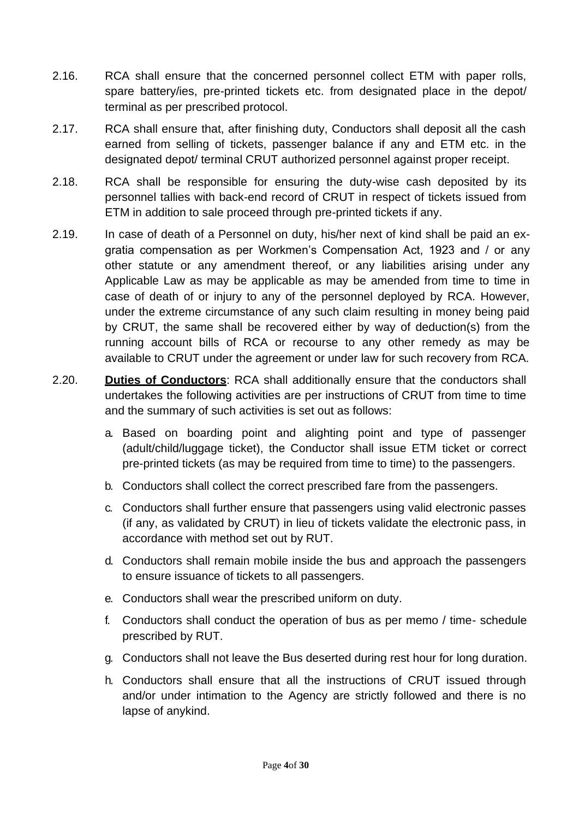- 2.16. RCA shall ensure that the concerned personnel collect ETM with paper rolls, spare battery/ies, pre-printed tickets etc. from designated place in the depot/ terminal as per prescribed protocol.
- 2.17. RCA shall ensure that, after finishing duty, Conductors shall deposit all the cash earned from selling of tickets, passenger balance if any and ETM etc. in the designated depot/ terminal CRUT authorized personnel against proper receipt.
- 2.18. RCA shall be responsible for ensuring the duty-wise cash deposited by its personnel tallies with back-end record of CRUT in respect of tickets issued from ETM in addition to sale proceed through pre-printed tickets if any.
- 2.19. In case of death of a Personnel on duty, his/her next of kind shall be paid an exgratia compensation as per Workmen's Compensation Act, 1923 and / or any other statute or any amendment thereof, or any liabilities arising under any Applicable Law as may be applicable as may be amended from time to time in case of death of or injury to any of the personnel deployed by RCA. However, under the extreme circumstance of any such claim resulting in money being paid by CRUT, the same shall be recovered either by way of deduction(s) from the running account bills of RCA or recourse to any other remedy as may be available to CRUT under the agreement or under law for such recovery from RCA.
- 2.20. **Duties of Conductors**: RCA shall additionally ensure that the conductors shall undertakes the following activities are per instructions of CRUT from time to time and the summary of such activities is set out as follows:
	- a. Based on boarding point and alighting point and type of passenger (adult/child/luggage ticket), the Conductor shall issue ETM ticket or correct pre-printed tickets (as may be required from time to time) to the passengers.
	- b. Conductors shall collect the correct prescribed fare from the passengers.
	- c. Conductors shall further ensure that passengers using valid electronic passes (if any, as validated by CRUT) in lieu of tickets validate the electronic pass, in accordance with method set out by RUT.
	- d. Conductors shall remain mobile inside the bus and approach the passengers to ensure issuance of tickets to all passengers.
	- e. Conductors shall wear the prescribed uniform on duty.
	- f. Conductors shall conduct the operation of bus as per memo / time- schedule prescribed by RUT.
	- g. Conductors shall not leave the Bus deserted during rest hour for long duration.
	- h. Conductors shall ensure that all the instructions of CRUT issued through and/or under intimation to the Agency are strictly followed and there is no lapse of anykind.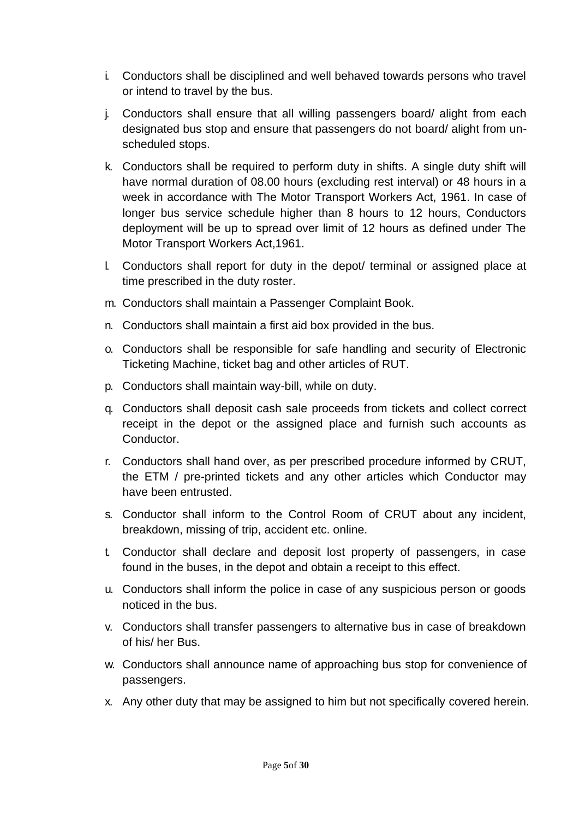- i. Conductors shall be disciplined and well behaved towards persons who travel or intend to travel by the bus.
- j. Conductors shall ensure that all willing passengers board/ alight from each designated bus stop and ensure that passengers do not board/ alight from unscheduled stops.
- k. Conductors shall be required to perform duty in shifts. A single duty shift will have normal duration of 08.00 hours (excluding rest interval) or 48 hours in a week in accordance with The Motor Transport Workers Act, 1961. In case of longer bus service schedule higher than 8 hours to 12 hours, Conductors deployment will be up to spread over limit of 12 hours as defined under The Motor Transport Workers Act,1961.
- l. Conductors shall report for duty in the depot/ terminal or assigned place at time prescribed in the duty roster.
- m. Conductors shall maintain a Passenger Complaint Book.
- n. Conductors shall maintain a first aid box provided in the bus.
- o. Conductors shall be responsible for safe handling and security of Electronic Ticketing Machine, ticket bag and other articles of RUT.
- p. Conductors shall maintain way-bill, while on duty.
- q. Conductors shall deposit cash sale proceeds from tickets and collect correct receipt in the depot or the assigned place and furnish such accounts as Conductor.
- r. Conductors shall hand over, as per prescribed procedure informed by CRUT, the ETM / pre-printed tickets and any other articles which Conductor may have been entrusted.
- s. Conductor shall inform to the Control Room of CRUT about any incident, breakdown, missing of trip, accident etc. online.
- t. Conductor shall declare and deposit lost property of passengers, in case found in the buses, in the depot and obtain a receipt to this effect.
- u. Conductors shall inform the police in case of any suspicious person or goods noticed in the bus.
- v. Conductors shall transfer passengers to alternative bus in case of breakdown of his/ her Bus.
- w. Conductors shall announce name of approaching bus stop for convenience of passengers.
- x. Any other duty that may be assigned to him but not specifically covered herein.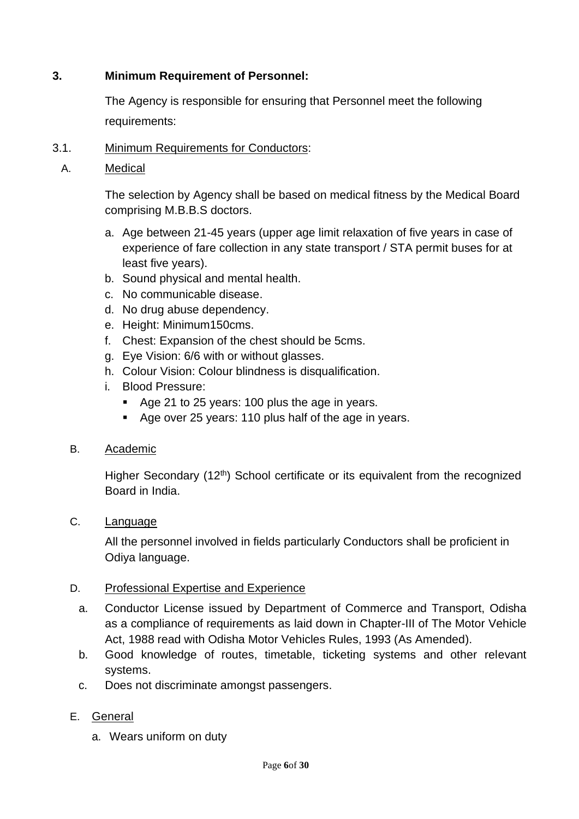## **3. Minimum Requirement of Personnel:**

The Agency is responsible for ensuring that Personnel meet the following requirements:

## 3.1. Minimum Requirements for Conductors:

A. Medical

The selection by Agency shall be based on medical fitness by the Medical Board comprising M.B.B.S doctors.

- a. Age between 21-45 years (upper age limit relaxation of five years in case of experience of fare collection in any state transport / STA permit buses for at least five years).
- b. Sound physical and mental health.
- c. No communicable disease.
- d. No drug abuse dependency.
- e. Height: Minimum150cms.
- f. Chest: Expansion of the chest should be 5cms.
- g. Eye Vision: 6/6 with or without glasses.
- h. Colour Vision: Colour blindness is disqualification.
- i. Blood Pressure:
	- Age 21 to 25 years: 100 plus the age in years.
	- Age over 25 years: 110 plus half of the age in years.

## B. Academic

Higher Secondary (12<sup>th</sup>) School certificate or its equivalent from the recognized Board in India.

C. Language

All the personnel involved in fields particularly Conductors shall be proficient in Odiya language.

## D. Professional Expertise and Experience

- a. Conductor License issued by Department of Commerce and Transport, Odisha as a compliance of requirements as laid down in Chapter-III of The Motor Vehicle Act, 1988 read with Odisha Motor Vehicles Rules, 1993 (As Amended).
- b. Good knowledge of routes, timetable, ticketing systems and other relevant systems.
- c. Does not discriminate amongst passengers.

## E. General

a. Wears uniform on duty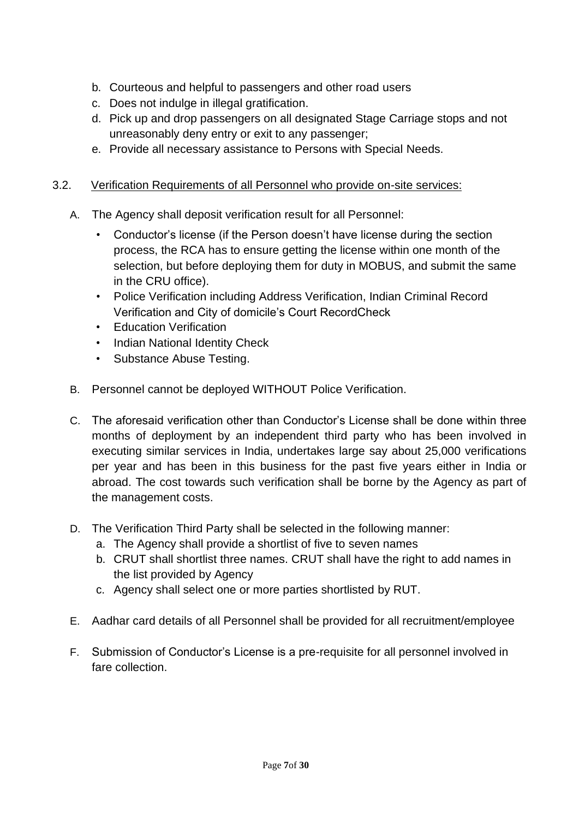- b. Courteous and helpful to passengers and other road users
- c. Does not indulge in illegal gratification.
- d. Pick up and drop passengers on all designated Stage Carriage stops and not unreasonably deny entry or exit to any passenger;
- e. Provide all necessary assistance to Persons with Special Needs.

## 3.2. Verification Requirements of all Personnel who provide on-site services:

- A. The Agency shall deposit verification result for all Personnel:
	- Conductor's license (if the Person doesn't have license during the section process, the RCA has to ensure getting the license within one month of the selection, but before deploying them for duty in MOBUS, and submit the same in the CRU office).
	- Police Verification including Address Verification, Indian Criminal Record Verification and City of domicile's Court RecordCheck
	- Education Verification
	- Indian National Identity Check
	- Substance Abuse Testing.
- B. Personnel cannot be deployed WITHOUT Police Verification.
- C. The aforesaid verification other than Conductor's License shall be done within three months of deployment by an independent third party who has been involved in executing similar services in India, undertakes large say about 25,000 verifications per year and has been in this business for the past five years either in India or abroad. The cost towards such verification shall be borne by the Agency as part of the management costs.
- D. The Verification Third Party shall be selected in the following manner:
	- a. The Agency shall provide a shortlist of five to seven names
	- b. CRUT shall shortlist three names. CRUT shall have the right to add names in the list provided by Agency
	- c. Agency shall select one or more parties shortlisted by RUT.
- E. Aadhar card details of all Personnel shall be provided for all recruitment/employee
- F. Submission of Conductor's License is a pre-requisite for all personnel involved in fare collection.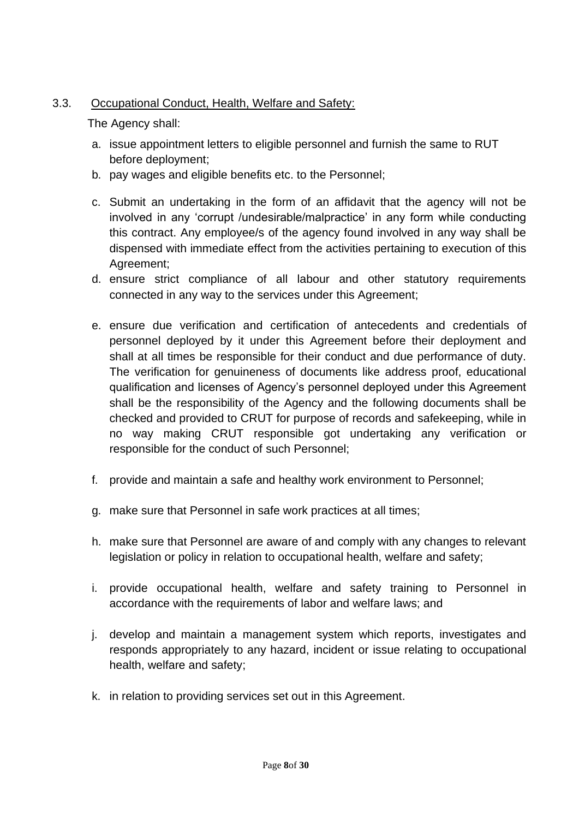## 3.3. Occupational Conduct, Health, Welfare and Safety:

The Agency shall:

- a. issue appointment letters to eligible personnel and furnish the same to RUT before deployment;
- b. pay wages and eligible benefits etc. to the Personnel;
- c. Submit an undertaking in the form of an affidavit that the agency will not be involved in any 'corrupt /undesirable/malpractice' in any form while conducting this contract. Any employee/s of the agency found involved in any way shall be dispensed with immediate effect from the activities pertaining to execution of this Agreement;
- d. ensure strict compliance of all labour and other statutory requirements connected in any way to the services under this Agreement;
- e. ensure due verification and certification of antecedents and credentials of personnel deployed by it under this Agreement before their deployment and shall at all times be responsible for their conduct and due performance of duty. The verification for genuineness of documents like address proof, educational qualification and licenses of Agency's personnel deployed under this Agreement shall be the responsibility of the Agency and the following documents shall be checked and provided to CRUT for purpose of records and safekeeping, while in no way making CRUT responsible got undertaking any verification or responsible for the conduct of such Personnel;
- f. provide and maintain a safe and healthy work environment to Personnel;
- g. make sure that Personnel in safe work practices at all times;
- h. make sure that Personnel are aware of and comply with any changes to relevant legislation or policy in relation to occupational health, welfare and safety;
- i. provide occupational health, welfare and safety training to Personnel in accordance with the requirements of labor and welfare laws; and
- j. develop and maintain a management system which reports, investigates and responds appropriately to any hazard, incident or issue relating to occupational health, welfare and safety;
- k. in relation to providing services set out in this Agreement.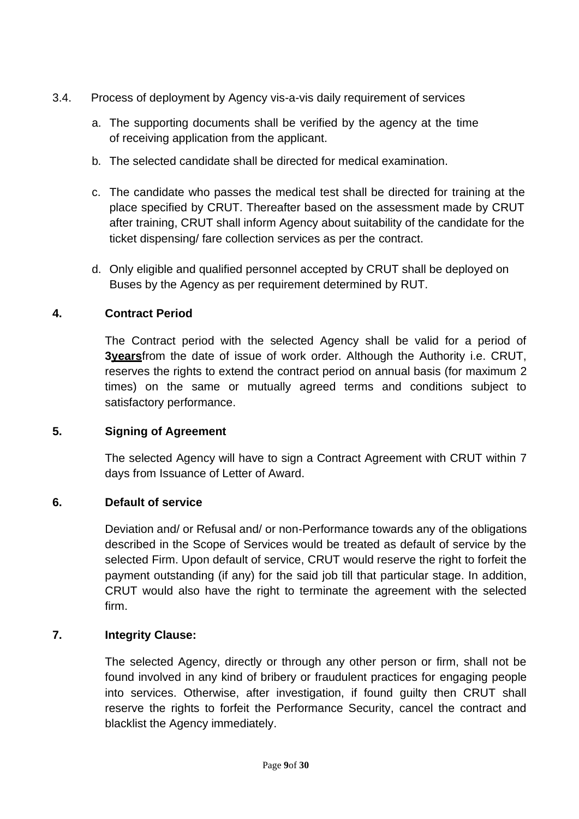- 3.4. Process of deployment by Agency vis-a-vis daily requirement of services
	- a. The supporting documents shall be verified by the agency at the time of receiving application from the applicant.
	- b. The selected candidate shall be directed for medical examination.
	- c. The candidate who passes the medical test shall be directed for training at the place specified by CRUT. Thereafter based on the assessment made by CRUT after training, CRUT shall inform Agency about suitability of the candidate for the ticket dispensing/ fare collection services as per the contract.
	- d. Only eligible and qualified personnel accepted by CRUT shall be deployed on Buses by the Agency as per requirement determined by RUT.

## **4. Contract Period**

The Contract period with the selected Agency shall be valid for a period of **3years**from the date of issue of work order. Although the Authority i.e. CRUT, reserves the rights to extend the contract period on annual basis (for maximum 2 times) on the same or mutually agreed terms and conditions subject to satisfactory performance.

## **5. Signing of Agreement**

The selected Agency will have to sign a Contract Agreement with CRUT within 7 days from Issuance of Letter of Award.

## **6. Default of service**

Deviation and/ or Refusal and/ or non-Performance towards any of the obligations described in the Scope of Services would be treated as default of service by the selected Firm. Upon default of service, CRUT would reserve the right to forfeit the payment outstanding (if any) for the said job till that particular stage. In addition, CRUT would also have the right to terminate the agreement with the selected firm.

## **7. Integrity Clause:**

The selected Agency, directly or through any other person or firm, shall not be found involved in any kind of bribery or fraudulent practices for engaging people into services. Otherwise, after investigation, if found guilty then CRUT shall reserve the rights to forfeit the Performance Security, cancel the contract and blacklist the Agency immediately.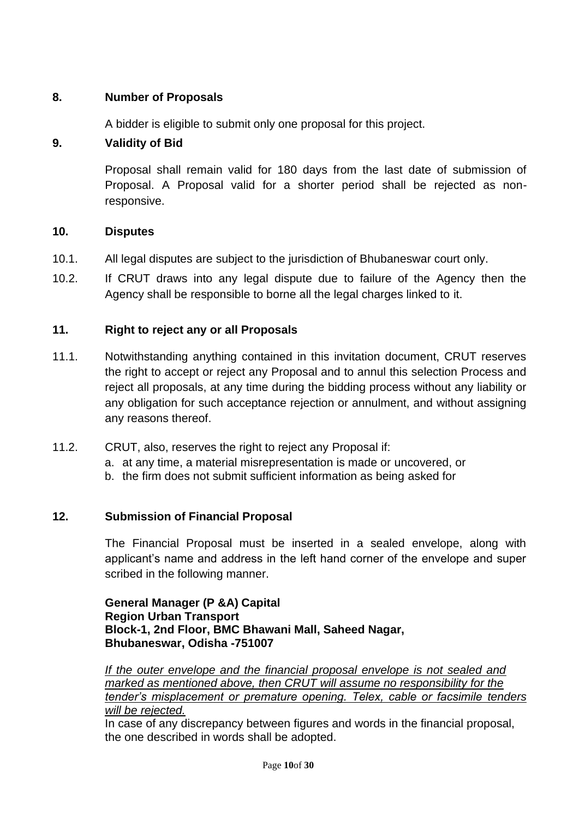## **8. Number of Proposals**

A bidder is eligible to submit only one proposal for this project.

## **9. Validity of Bid**

Proposal shall remain valid for 180 days from the last date of submission of Proposal. A Proposal valid for a shorter period shall be rejected as nonresponsive.

## **10. Disputes**

- 10.1. All legal disputes are subject to the jurisdiction of Bhubaneswar court only.
- 10.2. If CRUT draws into any legal dispute due to failure of the Agency then the Agency shall be responsible to borne all the legal charges linked to it.

## **11. Right to reject any or all Proposals**

- 11.1. Notwithstanding anything contained in this invitation document, CRUT reserves the right to accept or reject any Proposal and to annul this selection Process and reject all proposals, at any time during the bidding process without any liability or any obligation for such acceptance rejection or annulment, and without assigning any reasons thereof.
- 11.2. CRUT, also, reserves the right to reject any Proposal if:
	- a. at any time, a material misrepresentation is made or uncovered, or
	- b. the firm does not submit sufficient information as being asked for

## **12. Submission of Financial Proposal**

The Financial Proposal must be inserted in a sealed envelope, along with applicant's name and address in the left hand corner of the envelope and super scribed in the following manner.

**General Manager (P &A) Capital Region Urban Transport Block-1, 2nd Floor, BMC Bhawani Mall, Saheed Nagar, Bhubaneswar, Odisha -751007**

*If the outer envelope and the financial proposal envelope is not sealed and marked as mentioned above, then CRUT will assume no responsibility for the tender's misplacement or premature opening. Telex, cable or facsimile tenders will be rejected.*

In case of any discrepancy between figures and words in the financial proposal, the one described in words shall be adopted.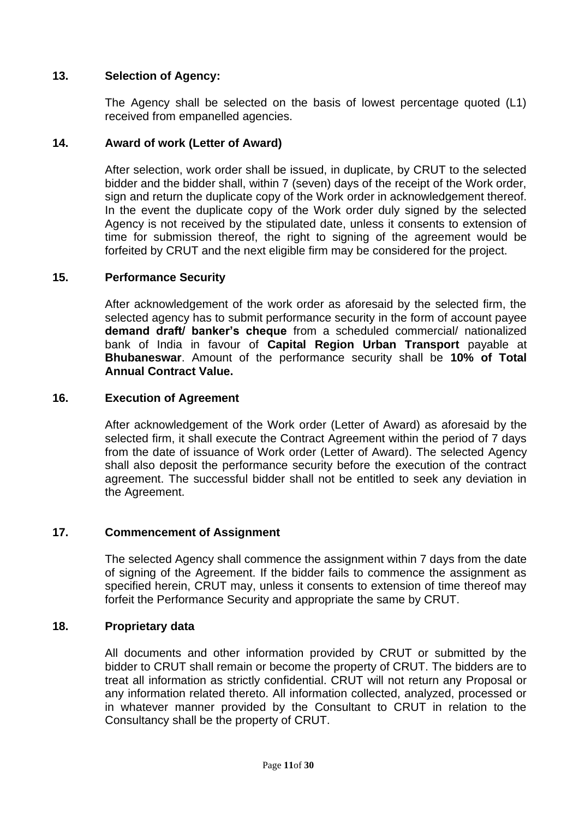## **13. Selection of Agency:**

The Agency shall be selected on the basis of lowest percentage quoted (L1) received from empanelled agencies.

#### **14. Award of work (Letter of Award)**

After selection, work order shall be issued, in duplicate, by CRUT to the selected bidder and the bidder shall, within 7 (seven) days of the receipt of the Work order, sign and return the duplicate copy of the Work order in acknowledgement thereof. In the event the duplicate copy of the Work order duly signed by the selected Agency is not received by the stipulated date, unless it consents to extension of time for submission thereof, the right to signing of the agreement would be forfeited by CRUT and the next eligible firm may be considered for the project.

#### **15. Performance Security**

After acknowledgement of the work order as aforesaid by the selected firm, the selected agency has to submit performance security in the form of account payee **demand draft/ banker's cheque** from a scheduled commercial/ nationalized bank of India in favour of **Capital Region Urban Transport** payable at **Bhubaneswar**. Amount of the performance security shall be **10% of Total Annual Contract Value.**

#### **16. Execution of Agreement**

After acknowledgement of the Work order (Letter of Award) as aforesaid by the selected firm, it shall execute the Contract Agreement within the period of 7 days from the date of issuance of Work order (Letter of Award). The selected Agency shall also deposit the performance security before the execution of the contract agreement. The successful bidder shall not be entitled to seek any deviation in the Agreement.

#### **17. Commencement of Assignment**

The selected Agency shall commence the assignment within 7 days from the date of signing of the Agreement. If the bidder fails to commence the assignment as specified herein, CRUT may, unless it consents to extension of time thereof may forfeit the Performance Security and appropriate the same by CRUT.

#### **18. Proprietary data**

All documents and other information provided by CRUT or submitted by the bidder to CRUT shall remain or become the property of CRUT. The bidders are to treat all information as strictly confidential. CRUT will not return any Proposal or any information related thereto. All information collected, analyzed, processed or in whatever manner provided by the Consultant to CRUT in relation to the Consultancy shall be the property of CRUT.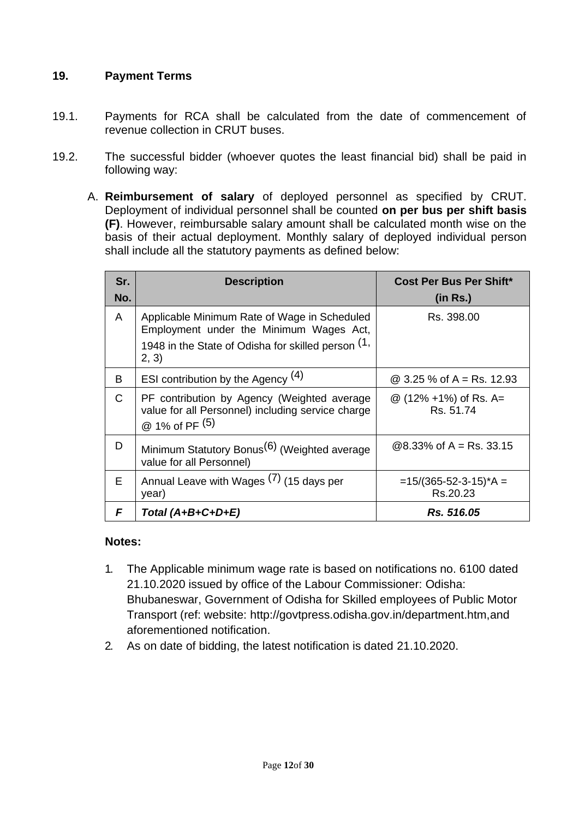## **19. Payment Terms**

- 19.1. Payments for RCA shall be calculated from the date of commencement of revenue collection in CRUT buses.
- 19.2. The successful bidder (whoever quotes the least financial bid) shall be paid in following way:
	- A. **Reimbursement of salary** of deployed personnel as specified by CRUT. Deployment of individual personnel shall be counted **on per bus per shift basis (F)**. However, reimbursable salary amount shall be calculated month wise on the basis of their actual deployment. Monthly salary of deployed individual person shall include all the statutory payments as defined below:

| Sr.<br>No.   | <b>Description</b>                                                                                                                                     | <b>Cost Per Bus Per Shift*</b><br>(in Rs.) |
|--------------|--------------------------------------------------------------------------------------------------------------------------------------------------------|--------------------------------------------|
| A            | Applicable Minimum Rate of Wage in Scheduled<br>Employment under the Minimum Wages Act,<br>1948 in the State of Odisha for skilled person (1,<br>2, 3) | Rs. 398.00                                 |
| B            | ESI contribution by the Agency $(4)$                                                                                                                   | @ 3.25 % of A = Rs. 12.93                  |
| $\mathsf{C}$ | PF contribution by Agency (Weighted average<br>value for all Personnel) including service charge<br>@ 1% of PF (5)                                     | @ (12% +1%) of Rs. A=<br>Rs. 51.74         |
| D            | Minimum Statutory Bonus <sup>(6)</sup> (Weighted average<br>value for all Personnel)                                                                   | $@8.33\%$ of A = Rs. 33.15                 |
| E            | Annual Leave with Wages $(7)$ (15 days per<br>year)                                                                                                    | $=15/(365-52-3-15)^*A =$<br>Rs.20.23       |
| F            | Total $(A+B+C+D+E)$                                                                                                                                    | Rs. 516.05                                 |

#### **Notes:**

- 1. The Applicable minimum wage rate is based on notifications no. 6100 dated 21.10.2020 issued by office of the Labour Commissioner: Odisha: Bhubaneswar, Government of Odisha for Skilled employees of Public Motor Transport (ref: website: [http://govtpress.odisha.gov.in/department.htm,a](http://govtpress.odisha.gov.in/department.htm)nd aforementioned notification.
- 2. As on date of bidding, the latest notification is dated 21.10.2020.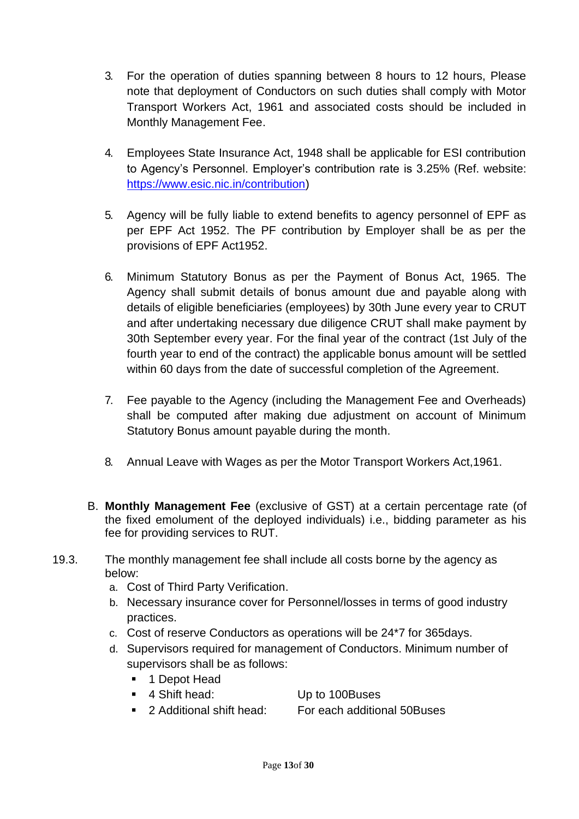- 3. For the operation of duties spanning between 8 hours to 12 hours, Please note that deployment of Conductors on such duties shall comply with Motor Transport Workers Act, 1961 and associated costs should be included in Monthly Management Fee.
- 4. Employees State Insurance Act, 1948 shall be applicable for ESI contribution to Agency's Personnel. Employer's contribution rate is 3.25% (Ref. website[:](https://www.esic.nic.in/contribution) [https://www.esic.nic.in/contribution\)](https://www.esic.nic.in/contribution)
- 5. Agency will be fully liable to extend benefits to agency personnel of EPF as per EPF Act 1952. The PF contribution by Employer shall be as per the provisions of EPF Act1952.
- 6. Minimum Statutory Bonus as per the Payment of Bonus Act, 1965. The Agency shall submit details of bonus amount due and payable along with details of eligible beneficiaries (employees) by 30th June every year to CRUT and after undertaking necessary due diligence CRUT shall make payment by 30th September every year. For the final year of the contract (1st July of the fourth year to end of the contract) the applicable bonus amount will be settled within 60 days from the date of successful completion of the Agreement.
- 7. Fee payable to the Agency (including the Management Fee and Overheads) shall be computed after making due adjustment on account of Minimum Statutory Bonus amount payable during the month.
- 8. Annual Leave with Wages as per the Motor Transport Workers Act,1961.
- B. **Monthly Management Fee** (exclusive of GST) at a certain percentage rate (of the fixed emolument of the deployed individuals) i.e., bidding parameter as his fee for providing services to RUT.
- 19.3. The monthly management fee shall include all costs borne by the agency as below:
	- a. Cost of Third Party Verification.
	- b. Necessary insurance cover for Personnel/losses in terms of good industry practices.
	- c. Cost of reserve Conductors as operations will be 24\*7 for 365days.
	- d. Supervisors required for management of Conductors. Minimum number of supervisors shall be as follows:
		- 1 Depot Head
		- 4 Shift head: Up to 100Buses
		- 2 Additional shift head: For each additional 50Buses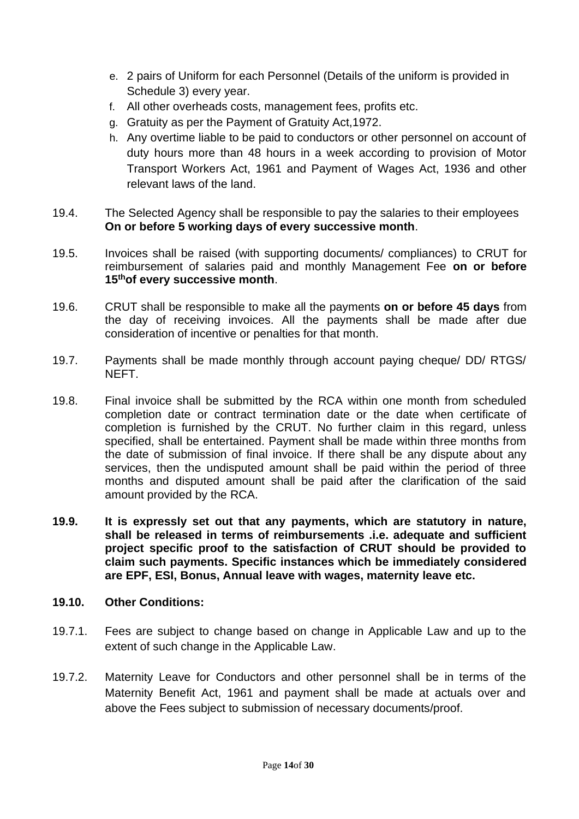- e. 2 pairs of Uniform for each Personnel (Details of the uniform is provided in Schedule 3) every year.
- f. All other overheads costs, management fees, profits etc.
- g. Gratuity as per the Payment of Gratuity Act,1972.
- h. Any overtime liable to be paid to conductors or other personnel on account of duty hours more than 48 hours in a week according to provision of Motor Transport Workers Act, 1961 and Payment of Wages Act, 1936 and other relevant laws of the land.
- 19.4. The Selected Agency shall be responsible to pay the salaries to their employees **On or before 5 working days of every successive month**.
- 19.5. Invoices shall be raised (with supporting documents/ compliances) to CRUT for reimbursement of salaries paid and monthly Management Fee **on or before 15thof every successive month**.
- 19.6. CRUT shall be responsible to make all the payments **on or before 45 days** from the day of receiving invoices. All the payments shall be made after due consideration of incentive or penalties for that month.
- 19.7. Payments shall be made monthly through account paying cheque/ DD/ RTGS/ NEFT.
- 19.8. Final invoice shall be submitted by the RCA within one month from scheduled completion date or contract termination date or the date when certificate of completion is furnished by the CRUT. No further claim in this regard, unless specified, shall be entertained. Payment shall be made within three months from the date of submission of final invoice. If there shall be any dispute about any services, then the undisputed amount shall be paid within the period of three months and disputed amount shall be paid after the clarification of the said amount provided by the RCA.
- **19.9. It is expressly set out that any payments, which are statutory in nature, shall be released in terms of reimbursements .i.e. adequate and sufficient project specific proof to the satisfaction of CRUT should be provided to claim such payments. Specific instances which be immediately considered are EPF, ESI, Bonus, Annual leave with wages, maternity leave etc.**

#### **19.10. Other Conditions:**

- 19.7.1. Fees are subject to change based on change in Applicable Law and up to the extent of such change in the Applicable Law.
- 19.7.2. Maternity Leave for Conductors and other personnel shall be in terms of the Maternity Benefit Act, 1961 and payment shall be made at actuals over and above the Fees subject to submission of necessary documents/proof.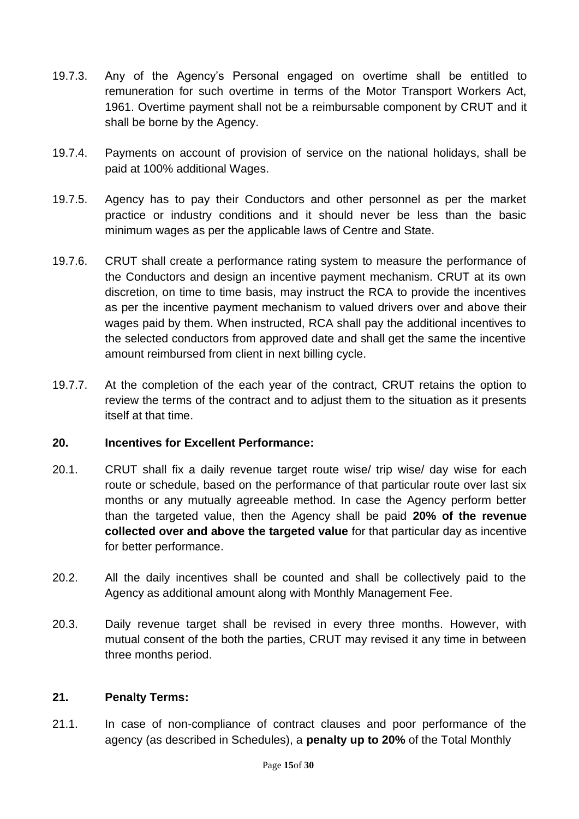- 19.7.3. Any of the Agency's Personal engaged on overtime shall be entitled to remuneration for such overtime in terms of the Motor Transport Workers Act, 1961. Overtime payment shall not be a reimbursable component by CRUT and it shall be borne by the Agency.
- 19.7.4. Payments on account of provision of service on the national holidays, shall be paid at 100% additional Wages.
- 19.7.5. Agency has to pay their Conductors and other personnel as per the market practice or industry conditions and it should never be less than the basic minimum wages as per the applicable laws of Centre and State.
- 19.7.6. CRUT shall create a performance rating system to measure the performance of the Conductors and design an incentive payment mechanism. CRUT at its own discretion, on time to time basis, may instruct the RCA to provide the incentives as per the incentive payment mechanism to valued drivers over and above their wages paid by them. When instructed, RCA shall pay the additional incentives to the selected conductors from approved date and shall get the same the incentive amount reimbursed from client in next billing cycle.
- 19.7.7. At the completion of the each year of the contract, CRUT retains the option to review the terms of the contract and to adjust them to the situation as it presents itself at that time.

## **20. Incentives for Excellent Performance:**

- 20.1. CRUT shall fix a daily revenue target route wise/ trip wise/ day wise for each route or schedule, based on the performance of that particular route over last six months or any mutually agreeable method. In case the Agency perform better than the targeted value, then the Agency shall be paid **20% of the revenue collected over and above the targeted value** for that particular day as incentive for better performance.
- 20.2. All the daily incentives shall be counted and shall be collectively paid to the Agency as additional amount along with Monthly Management Fee.
- 20.3. Daily revenue target shall be revised in every three months. However, with mutual consent of the both the parties, CRUT may revised it any time in between three months period.

## **21. Penalty Terms:**

21.1. In case of non-compliance of contract clauses and poor performance of the agency (as described in Schedules), a **penalty up to 20%** of the Total Monthly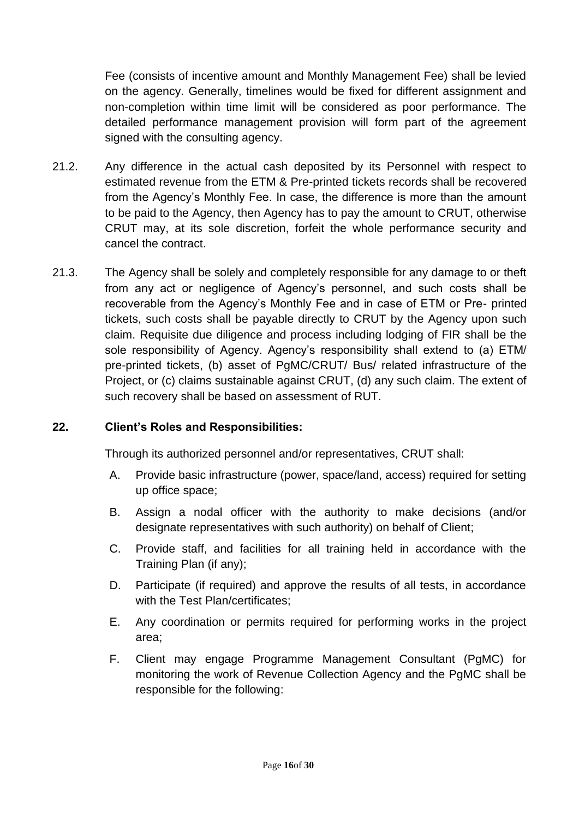Fee (consists of incentive amount and Monthly Management Fee) shall be levied on the agency. Generally, timelines would be fixed for different assignment and non-completion within time limit will be considered as poor performance. The detailed performance management provision will form part of the agreement signed with the consulting agency.

- 21.2. Any difference in the actual cash deposited by its Personnel with respect to estimated revenue from the ETM & Pre-printed tickets records shall be recovered from the Agency's Monthly Fee. In case, the difference is more than the amount to be paid to the Agency, then Agency has to pay the amount to CRUT, otherwise CRUT may, at its sole discretion, forfeit the whole performance security and cancel the contract.
- 21.3. The Agency shall be solely and completely responsible for any damage to or theft from any act or negligence of Agency's personnel, and such costs shall be recoverable from the Agency's Monthly Fee and in case of ETM or Pre- printed tickets, such costs shall be payable directly to CRUT by the Agency upon such claim. Requisite due diligence and process including lodging of FIR shall be the sole responsibility of Agency. Agency's responsibility shall extend to (a) ETM/ pre-printed tickets, (b) asset of PgMC/CRUT/ Bus/ related infrastructure of the Project, or (c) claims sustainable against CRUT, (d) any such claim. The extent of such recovery shall be based on assessment of RUT.

## **22. Client's Roles and Responsibilities:**

Through its authorized personnel and/or representatives, CRUT shall:

- A. Provide basic infrastructure (power, space/land, access) required for setting up office space;
- B. Assign a nodal officer with the authority to make decisions (and/or designate representatives with such authority) on behalf of Client;
- C. Provide staff, and facilities for all training held in accordance with the Training Plan (if any);
- D. Participate (if required) and approve the results of all tests, in accordance with the Test Plan/certificates:
- E. Any coordination or permits required for performing works in the project area;
- F. Client may engage Programme Management Consultant (PgMC) for monitoring the work of Revenue Collection Agency and the PgMC shall be responsible for the following: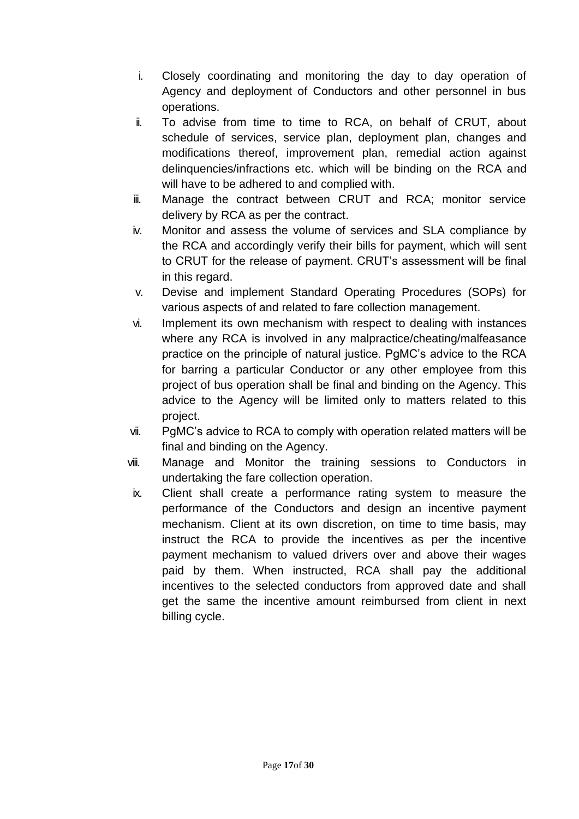- i. Closely coordinating and monitoring the day to day operation of Agency and deployment of Conductors and other personnel in bus operations.
- ii. To advise from time to time to RCA, on behalf of CRUT, about schedule of services, service plan, deployment plan, changes and modifications thereof, improvement plan, remedial action against delinquencies/infractions etc. which will be binding on the RCA and will have to be adhered to and complied with.
- iii. Manage the contract between CRUT and RCA; monitor service delivery by RCA as per the contract.
- iv. Monitor and assess the volume of services and SLA compliance by the RCA and accordingly verify their bills for payment, which will sent to CRUT for the release of payment. CRUT's assessment will be final in this regard.
- v. Devise and implement Standard Operating Procedures (SOPs) for various aspects of and related to fare collection management.
- vi. Implement its own mechanism with respect to dealing with instances where any RCA is involved in any malpractice/cheating/malfeasance practice on the principle of natural justice. PgMC's advice to the RCA for barring a particular Conductor or any other employee from this project of bus operation shall be final and binding on the Agency. This advice to the Agency will be limited only to matters related to this project.
- vii. PgMC's advice to RCA to comply with operation related matters will be final and binding on the Agency.
- viii. Manage and Monitor the training sessions to Conductors in undertaking the fare collection operation.
- ix. Client shall create a performance rating system to measure the performance of the Conductors and design an incentive payment mechanism. Client at its own discretion, on time to time basis, may instruct the RCA to provide the incentives as per the incentive payment mechanism to valued drivers over and above their wages paid by them. When instructed, RCA shall pay the additional incentives to the selected conductors from approved date and shall get the same the incentive amount reimbursed from client in next billing cycle.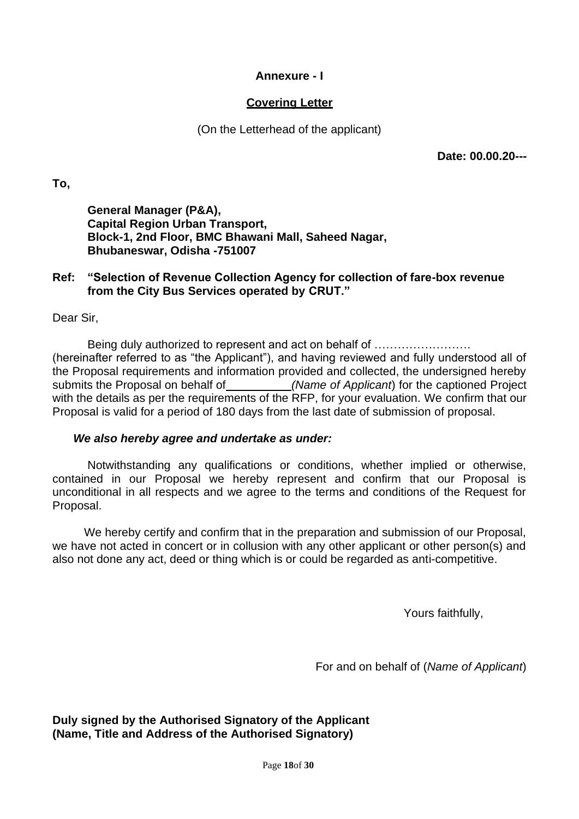#### **Annexure - I**

## **Covering Letter**

(On the Letterhead of the applicant)

**Date: 00.00.20---**

**To,**

**General Manager (P&A), Capital Region Urban Transport, Block-1, 2nd Floor, BMC Bhawani Mall, Saheed Nagar, Bhubaneswar, Odisha -751007**

#### **Ref: "Selection of Revenue Collection Agency for collection of fare-box revenue from the City Bus Services operated by CRUT."**

Dear Sir,

Being duly authorized to represent and act on behalf of ……………………. (hereinafter referred to as "the Applicant"), and having reviewed and fully understood all of the Proposal requirements and information provided and collected, the undersigned hereby submits the Proposal on behalf of *(Name of Applicant)* for the captioned Project with the details as per the requirements of the RFP, for your evaluation. We confirm that our Proposal is valid for a period of 180 days from the last date of submission of proposal.

#### *We also hereby agree and undertake as under:*

Notwithstanding any qualifications or conditions, whether implied or otherwise, contained in our Proposal we hereby represent and confirm that our Proposal is unconditional in all respects and we agree to the terms and conditions of the Request for Proposal.

We hereby certify and confirm that in the preparation and submission of our Proposal, we have not acted in concert or in collusion with any other applicant or other person(s) and also not done any act, deed or thing which is or could be regarded as anti-competitive.

Yours faithfully,

For and on behalf of (*Name of Applicant*)

**Duly signed by the Authorised Signatory of the Applicant (Name, Title and Address of the Authorised Signatory)**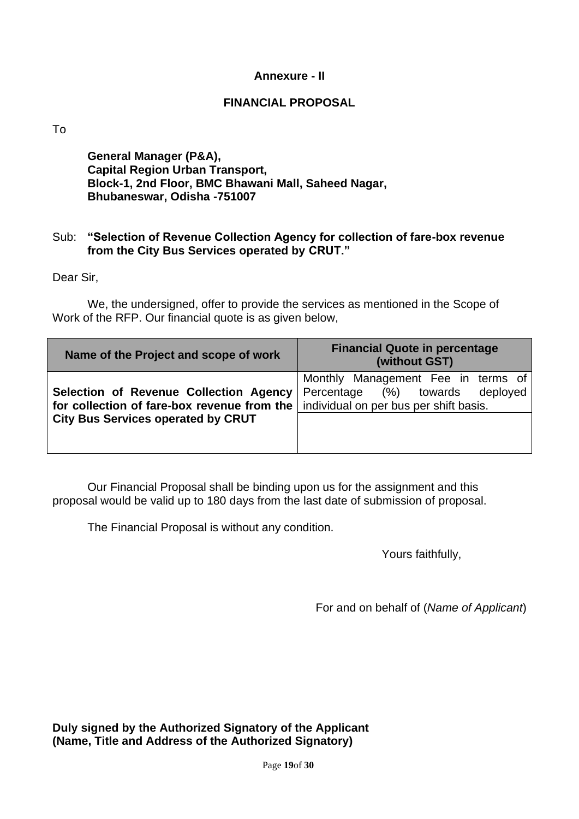#### **Annexure - II**

#### **FINANCIAL PROPOSAL**

To

**General Manager (P&A), Capital Region Urban Transport, Block-1, 2nd Floor, BMC Bhawani Mall, Saheed Nagar, Bhubaneswar, Odisha -751007**

#### Sub: **"Selection of Revenue Collection Agency for collection of fare-box revenue from the City Bus Services operated by CRUT."**

Dear Sir,

We, the undersigned, offer to provide the services as mentioned in the Scope of Work of the RFP. Our financial quote is as given below,

| Name of the Project and scope of work                                                 | <b>Financial Quote in percentage</b><br>(without GST)                                                                    |  |  |
|---------------------------------------------------------------------------------------|--------------------------------------------------------------------------------------------------------------------------|--|--|
| Selection of Revenue Collection Agency<br>for collection of fare-box revenue from the | Monthly Management Fee in terms of<br>$(\%)$ towards<br>deployed<br>Percentage<br>individual on per bus per shift basis. |  |  |
| <b>City Bus Services operated by CRUT</b>                                             |                                                                                                                          |  |  |

Our Financial Proposal shall be binding upon us for the assignment and this proposal would be valid up to 180 days from the last date of submission of proposal.

The Financial Proposal is without any condition.

Yours faithfully,

For and on behalf of (*Name of Applicant*)

**Duly signed by the Authorized Signatory of the Applicant (Name, Title and Address of the Authorized Signatory)**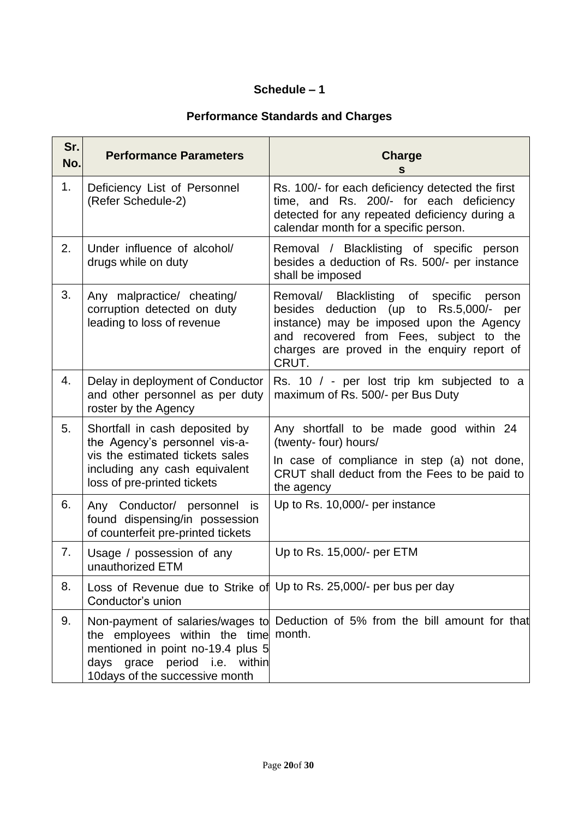## **Schedule – 1**

# **Performance Standards and Charges**

| Sr.<br>No. | <b>Performance Parameters</b>                                                                                                                                      | <b>Charge</b><br>S                                                                                                                                                                                                                       |
|------------|--------------------------------------------------------------------------------------------------------------------------------------------------------------------|------------------------------------------------------------------------------------------------------------------------------------------------------------------------------------------------------------------------------------------|
| 1.         | Deficiency List of Personnel<br>(Refer Schedule-2)                                                                                                                 | Rs. 100/- for each deficiency detected the first<br>time, and Rs. 200/- for each deficiency<br>detected for any repeated deficiency during a<br>calendar month for a specific person.                                                    |
| 2.         | Under influence of alcohol/<br>drugs while on duty                                                                                                                 | Removal / Blacklisting of specific person<br>besides a deduction of Rs. 500/- per instance<br>shall be imposed                                                                                                                           |
| 3.         | Any malpractice/ cheating/<br>corruption detected on duty<br>leading to loss of revenue                                                                            | Removal/ Blacklisting of specific<br>person<br>besides deduction (up to Rs.5,000/-<br>per<br>instance) may be imposed upon the Agency<br>and recovered from Fees, subject to the<br>charges are proved in the enquiry report of<br>CRUT. |
| 4.         | Delay in deployment of Conductor<br>and other personnel as per duty<br>roster by the Agency                                                                        | Rs. 10 / - per lost trip km subjected to a<br>maximum of Rs. 500/- per Bus Duty                                                                                                                                                          |
| 5.         | Shortfall in cash deposited by<br>the Agency's personnel vis-a-<br>vis the estimated tickets sales<br>including any cash equivalent<br>loss of pre-printed tickets | Any shortfall to be made good within 24<br>(twenty- four) hours/<br>In case of compliance in step (a) not done,<br>CRUT shall deduct from the Fees to be paid to<br>the agency                                                           |
| 6.         | Any Conductor/ personnel is<br>found dispensing/in possession<br>of counterfeit pre-printed tickets                                                                | Up to Rs. 10,000/- per instance                                                                                                                                                                                                          |
| 7.         | Usage / possession of any<br>unauthorized ETM                                                                                                                      | Up to Rs. 15,000/- per ETM                                                                                                                                                                                                               |
| 8.         | Conductor's union                                                                                                                                                  | Loss of Revenue due to Strike of Up to Rs. 25,000/- per bus per day                                                                                                                                                                      |
| 9.         | the employees within the time<br>mentioned in point no-19.4 plus 5<br>days grace period i.e. within<br>10days of the successive month                              | Non-payment of salaries/wages to Deduction of 5% from the bill amount for that<br>month.                                                                                                                                                 |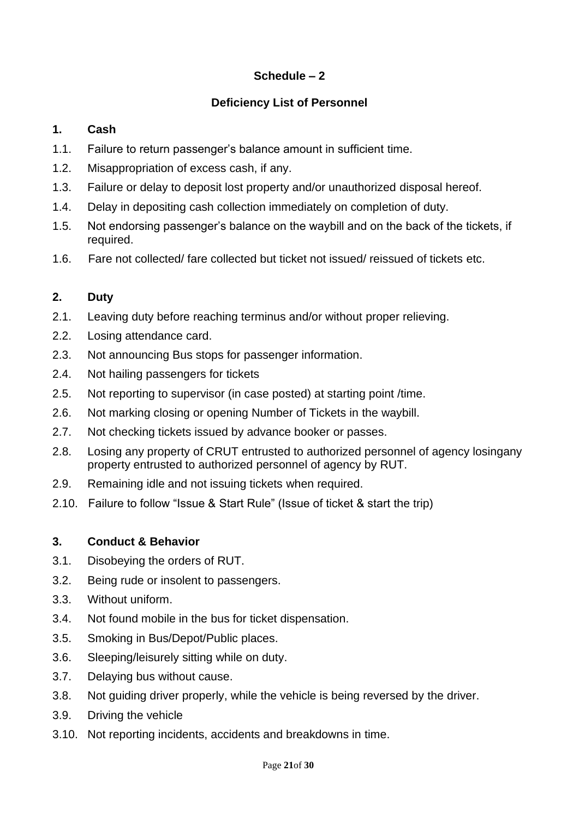## **Schedule – 2**

## **Deficiency List of Personnel**

## **1. Cash**

- 1.1. Failure to return passenger's balance amount in sufficient time.
- 1.2. Misappropriation of excess cash, if any.
- 1.3. Failure or delay to deposit lost property and/or unauthorized disposal hereof.
- 1.4. Delay in depositing cash collection immediately on completion of duty.
- 1.5. Not endorsing passenger's balance on the waybill and on the back of the tickets, if required.
- 1.6. Fare not collected/ fare collected but ticket not issued/ reissued of tickets etc.

## **2. Duty**

- 2.1. Leaving duty before reaching terminus and/or without proper relieving.
- 2.2. Losing attendance card.
- 2.3. Not announcing Bus stops for passenger information.
- 2.4. Not hailing passengers for tickets
- 2.5. Not reporting to supervisor (in case posted) at starting point /time.
- 2.6. Not marking closing or opening Number of Tickets in the waybill.
- 2.7. Not checking tickets issued by advance booker or passes.
- 2.8. Losing any property of CRUT entrusted to authorized personnel of agency losingany property entrusted to authorized personnel of agency by RUT.
- 2.9. Remaining idle and not issuing tickets when required.
- 2.10. Failure to follow "Issue & Start Rule" (Issue of ticket & start the trip)

## **3. Conduct & Behavior**

- 3.1. Disobeying the orders of RUT.
- 3.2. Being rude or insolent to passengers.
- 3.3. Without uniform.
- 3.4. Not found mobile in the bus for ticket dispensation.
- 3.5. Smoking in Bus/Depot/Public places.
- 3.6. Sleeping/leisurely sitting while on duty.
- 3.7. Delaying bus without cause.
- 3.8. Not guiding driver properly, while the vehicle is being reversed by the driver.
- 3.9. Driving the vehicle
- 3.10. Not reporting incidents, accidents and breakdowns in time.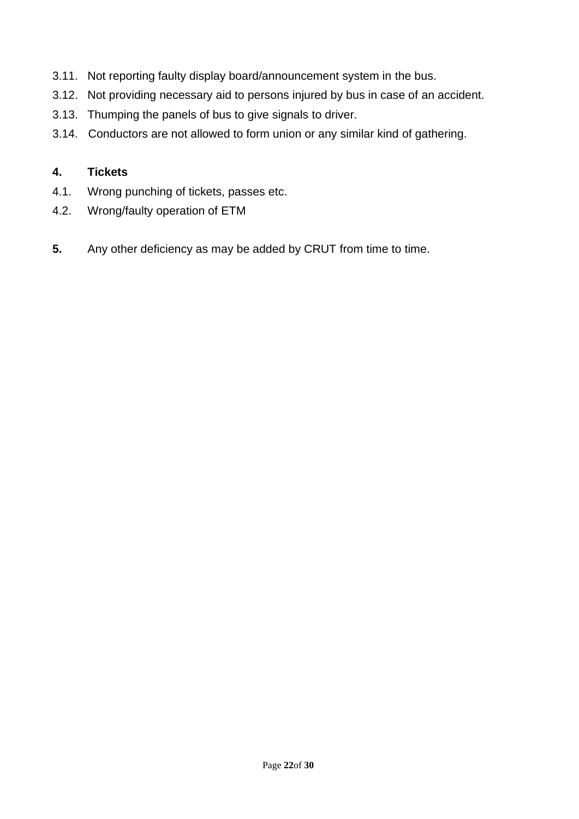- 3.11. Not reporting faulty display board/announcement system in the bus.
- 3.12. Not providing necessary aid to persons injured by bus in case of an accident.
- 3.13. Thumping the panels of bus to give signals to driver.
- 3.14. Conductors are not allowed to form union or any similar kind of gathering.

## **4. Tickets**

- 4.1. Wrong punching of tickets, passes etc.
- 4.2. Wrong/faulty operation of ETM
- **5.** Any other deficiency as may be added by CRUT from time to time.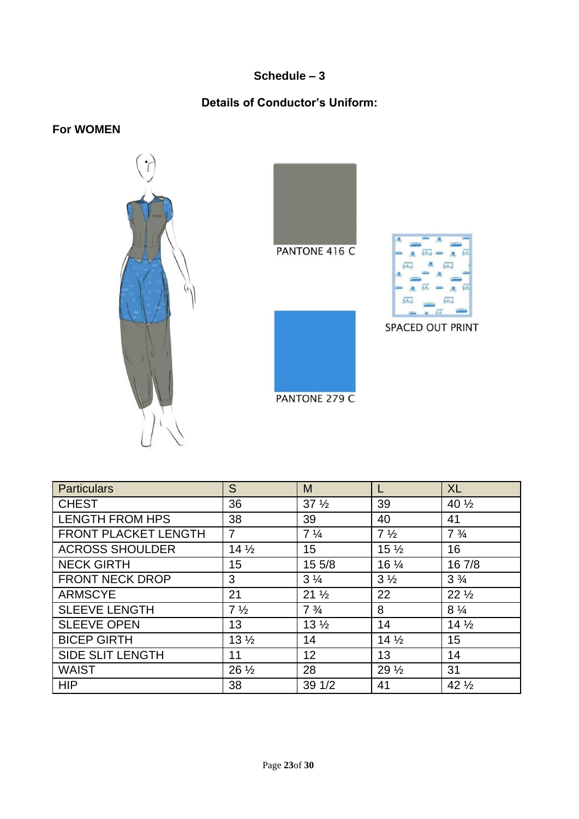## **Schedule – 3**

## **Details of Conductor's Uniform:**

**For WOMEN**





PANTONE 279 C



| <b>Particulars</b>      | S               | M                |                 | <b>XL</b>        |
|-------------------------|-----------------|------------------|-----------------|------------------|
| <b>CHEST</b>            | 36              | $37\frac{1}{2}$  | 39              | 40 $\frac{1}{2}$ |
| <b>LENGTH FROM HPS</b>  | 38              | 39               | 40              | 41               |
| FRONT PLACKET LENGTH    | $\overline{7}$  | $7\frac{1}{4}$   | $7\frac{1}{2}$  | $7\frac{3}{4}$   |
| <b>ACROSS SHOULDER</b>  | $14\frac{1}{2}$ | 15 <sub>15</sub> | $15\frac{1}{2}$ | 16               |
| <b>NECK GIRTH</b>       | 15              | 15 5/8           | 16 1/4          | 16 7/8           |
| <b>FRONT NECK DROP</b>  | 3               | $3\frac{1}{4}$   | $3\frac{1}{2}$  | $3\frac{3}{4}$   |
| <b>ARMSCYE</b>          | 21              | $21\frac{1}{2}$  | 22              | $22\frac{1}{2}$  |
| <b>SLEEVE LENGTH</b>    | $7\frac{1}{2}$  | $7\frac{3}{4}$   | 8               | $8\frac{1}{4}$   |
| <b>SLEEVE OPEN</b>      | 13              | 13 <sub>2</sub>  | 14              | $14\frac{1}{2}$  |
| <b>BICEP GIRTH</b>      | $13\frac{1}{2}$ | 14               | $14\frac{1}{2}$ | 15               |
| <b>SIDE SLIT LENGTH</b> | 11              | 12               | 13              | 14               |
| <b>WAIST</b>            | $26\frac{1}{2}$ | 28               | 29 <sub>2</sub> | 31               |
| <b>HIP</b>              | 38              | 39 1/2           | 41              | $42\frac{1}{2}$  |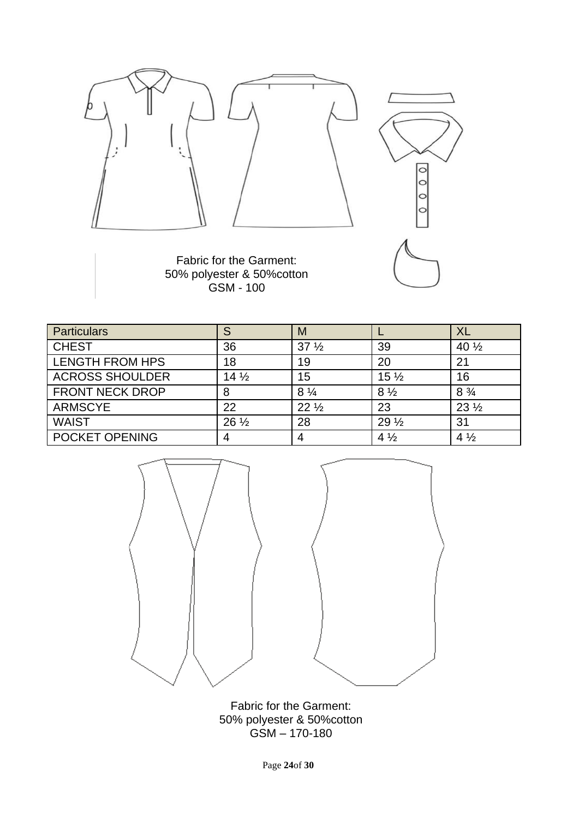

Fabric for the Garment: 50% polyester & 50%cotton GSM - 100

| <b>Particulars</b>     | S               | M               |                 | XL               |
|------------------------|-----------------|-----------------|-----------------|------------------|
| <b>CHEST</b>           | 36              | 37 <sub>2</sub> | 39              | 40 $\frac{1}{2}$ |
| <b>LENGTH FROM HPS</b> | 18              | 19              | 20              | 21               |
| <b>ACROSS SHOULDER</b> | $14\frac{1}{2}$ | 15              | $15\frac{1}{2}$ | 16               |
| <b>FRONT NECK DROP</b> | 8               | $8\frac{1}{4}$  | $8\frac{1}{2}$  | $8\frac{3}{4}$   |
| <b>ARMSCYE</b>         | 22              | $22\frac{1}{2}$ | 23              | $23\frac{1}{2}$  |
| <b>WAIST</b>           | $26\frac{1}{2}$ | 28              | $29\frac{1}{2}$ | 31               |
| POCKET OPENING         |                 | 4               | $4\frac{1}{2}$  | $4\frac{1}{2}$   |



Fabric for the Garment: 50% polyester & 50%cotton GSM – 170-180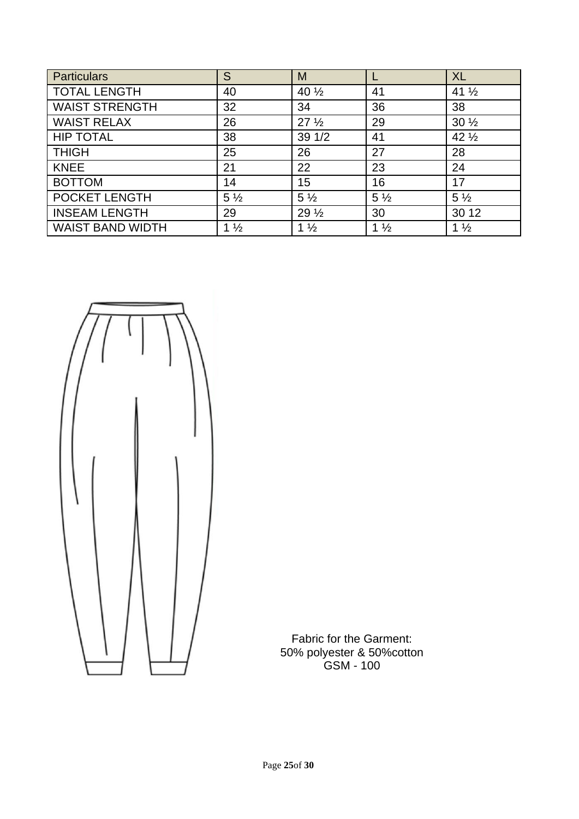| <b>Particulars</b>      | S              | M                |                | <b>XL</b>        |
|-------------------------|----------------|------------------|----------------|------------------|
| <b>TOTAL LENGTH</b>     | 40             | 40 $\frac{1}{2}$ | 41             | 41 $\frac{1}{2}$ |
| <b>WAIST STRENGTH</b>   | 32             | 34               | 36             | 38               |
| <b>WAIST RELAX</b>      | 26             | 27 <sub>2</sub>  | 29             | $30\frac{1}{2}$  |
| <b>HIP TOTAL</b>        | 38             | 391/2            | 41             | $42\frac{1}{2}$  |
| <b>THIGH</b>            | 25             | 26               | 27             | 28               |
| <b>KNEE</b>             | 21             | 22               | 23             | 24               |
| <b>BOTTOM</b>           | 14             | 15               | 16             | 17               |
| POCKET LENGTH           | $5\frac{1}{2}$ | $5\frac{1}{2}$   | $5\frac{1}{2}$ | $5\frac{1}{2}$   |
| <b>INSEAM LENGTH</b>    | 29             | 29 $\frac{1}{2}$ | 30             | 30 12            |
| <b>WAIST BAND WIDTH</b> | $1\frac{1}{2}$ | $1\frac{1}{2}$   | $1\frac{1}{2}$ | $1\frac{1}{2}$   |



Fabric for the Garment: 50% polyester & 50%cotton GSM - 100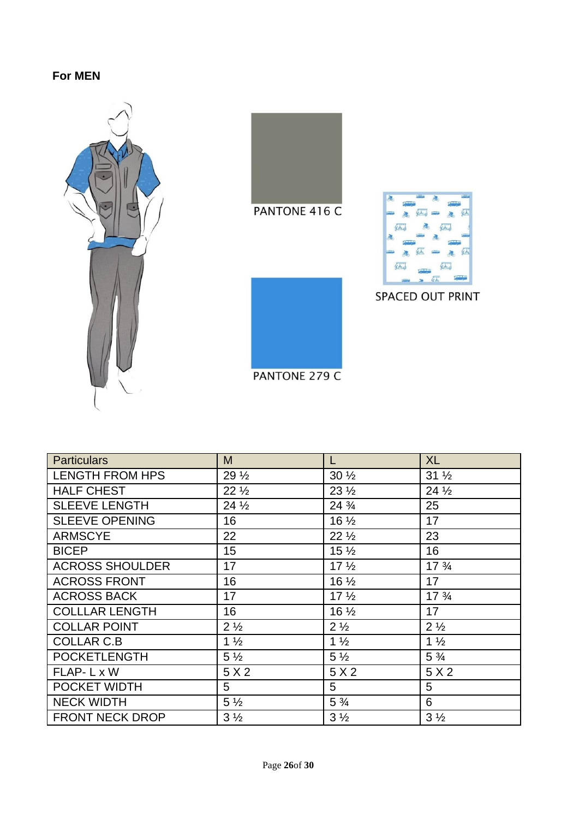## **For MEN**





SPACED OUT PRINT

PANTONE 279 C

| <b>Particulars</b>     | M               | L                | <b>XL</b>                      |
|------------------------|-----------------|------------------|--------------------------------|
| <b>LENGTH FROM HPS</b> | $29\frac{1}{2}$ | $30\frac{1}{2}$  | $31\frac{1}{2}$                |
| <b>HALF CHEST</b>      | $22\frac{1}{2}$ | $23\frac{1}{2}$  | $24\frac{1}{2}$                |
| <b>SLEEVE LENGTH</b>   | $24\frac{1}{2}$ | 24 $\frac{3}{4}$ | 25                             |
| <b>SLEEVE OPENING</b>  | 16              | $16\frac{1}{2}$  | 17                             |
| <b>ARMSCYE</b>         | 22              | $22\frac{1}{2}$  | 23                             |
| <b>BICEP</b>           | 15              | $15\frac{1}{2}$  | 16                             |
| <b>ACROSS SHOULDER</b> | 17              | 17 <sub>2</sub>  | $17\frac{3}{4}$                |
| <b>ACROSS FRONT</b>    | 16              | $16\frac{1}{2}$  | 17                             |
| <b>ACROSS BACK</b>     | 17              | 17 <sub>2</sub>  | 17 <sup>3</sup> / <sub>4</sub> |
| <b>COLLLAR LENGTH</b>  | 16              | $16\frac{1}{2}$  | 17                             |
| <b>COLLAR POINT</b>    | $2\frac{1}{2}$  | $2\frac{1}{2}$   | $2\frac{1}{2}$                 |
| <b>COLLAR C.B</b>      | $1\frac{1}{2}$  | $1\frac{1}{2}$   | $1\frac{1}{2}$                 |
| <b>POCKETLENGTH</b>    | $5\frac{1}{2}$  | $5\frac{1}{2}$   | $5\frac{3}{4}$                 |
| FLAP-L x W             | 5 X 2           | 5 X 2            | 5 X 2                          |
| POCKET WIDTH           | 5               | 5                | 5                              |
| <b>NECK WIDTH</b>      | $5\frac{1}{2}$  | $5\frac{3}{4}$   | 6                              |
| <b>FRONT NECK DROP</b> | $3\frac{1}{2}$  | $3\frac{1}{2}$   | $3\frac{1}{2}$                 |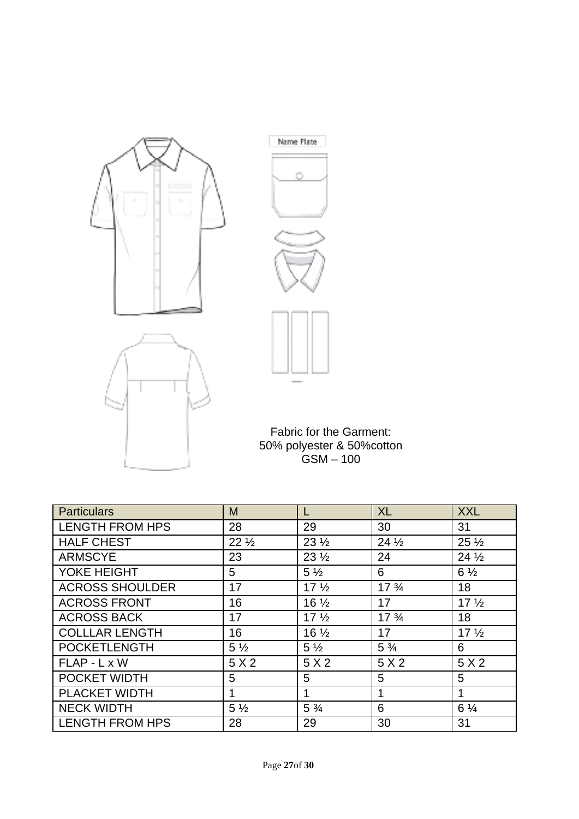



Fabric for the Garment: 50% polyester & 50%cotton GSM – 100

| <b>Particulars</b>     | M               |                 | <b>XL</b>                      | <b>XXL</b>      |
|------------------------|-----------------|-----------------|--------------------------------|-----------------|
| <b>LENGTH FROM HPS</b> | 28              | 29              | 30                             | 31              |
| <b>HALF CHEST</b>      | $22\frac{1}{2}$ | $23\frac{1}{2}$ | $24\frac{1}{2}$                | $25\frac{1}{2}$ |
| <b>ARMSCYE</b>         | 23              | $23\frac{1}{2}$ | 24                             | $24\frac{1}{2}$ |
| YOKE HEIGHT            | 5               | $5\frac{1}{2}$  | 6                              | $6\frac{1}{2}$  |
| <b>ACROSS SHOULDER</b> | 17              | 17 <sub>2</sub> | 17 <sup>3</sup> / <sub>4</sub> | 18              |
| <b>ACROSS FRONT</b>    | 16              | $16\frac{1}{2}$ | 17                             | 17 <sub>2</sub> |
| <b>ACROSS BACK</b>     | 17              | 17 <sub>2</sub> | 17 <sup>3</sup> / <sub>4</sub> | 18              |
| <b>COLLLAR LENGTH</b>  | 16              | $16\frac{1}{2}$ | 17                             | 17 <sub>2</sub> |
| <b>POCKETLENGTH</b>    | $5\frac{1}{2}$  | $5\frac{1}{2}$  | $5\frac{3}{4}$                 | 6               |
| FLAP - L x W           | 5X2             | 5X2             | 5X2                            | 5X2             |
| POCKET WIDTH           | 5               | 5               | 5                              | 5               |
| <b>PLACKET WIDTH</b>   | 1               | $\mathbf 1$     | $\mathbf 1$                    | 1               |
| <b>NECK WIDTH</b>      | $5\frac{1}{2}$  | $5\frac{3}{4}$  | 6                              | $6\frac{1}{4}$  |
| <b>LENGTH FROM HPS</b> | 28              | 29              | 30                             | 31              |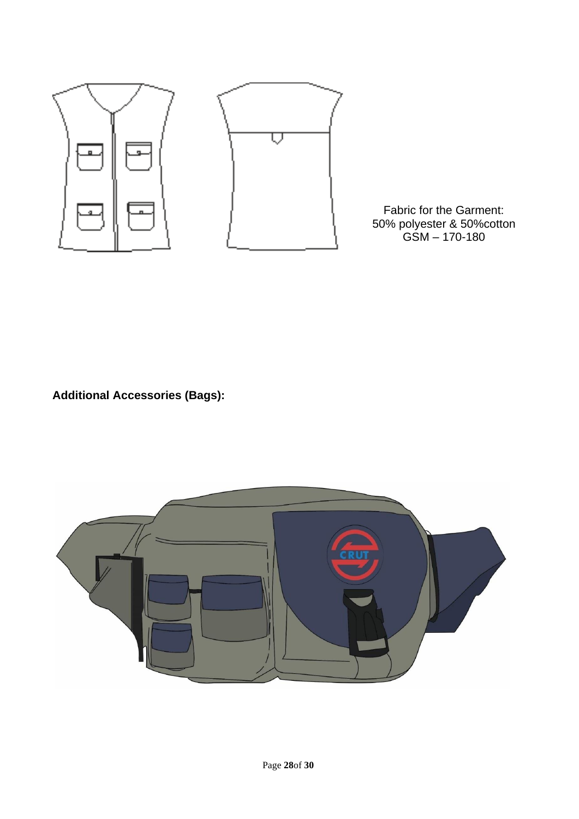

Fabric for the Garment: 50% polyester & 50%cotton GSM – 170-180

**Additional Accessories (Bags):**